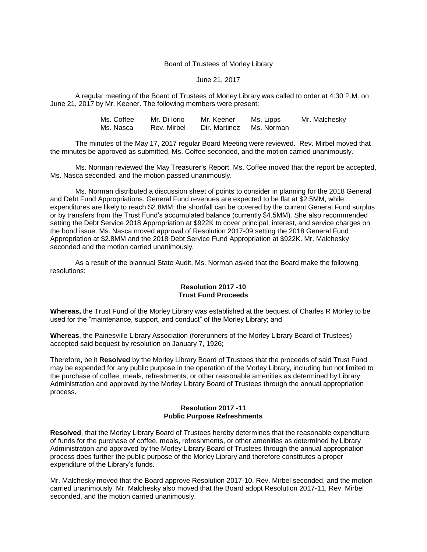## Board of Trustees of Morley Library

## June 21, 2017

A regular meeting of the Board of Trustees of Morley Library was called to order at 4:30 P.M. on June 21, 2017 by Mr. Keener. The following members were present:

| Ms. Coffee | Mr. Di Iorio | Mr. Keener               | Ms. Lipps | Mr. Malchesky |
|------------|--------------|--------------------------|-----------|---------------|
| Ms. Nasca  | Rev. Mirbel  | Dir. Martinez Ms. Norman |           |               |

The minutes of the May 17, 2017 regular Board Meeting were reviewed. Rev. Mirbel moved that the minutes be approved as submitted, Ms. Coffee seconded, and the motion carried unanimously.

Ms. Norman reviewed the May Treasurer's Report. Ms. Coffee moved that the report be accepted, Ms. Nasca seconded, and the motion passed unanimously.

Ms. Norman distributed a discussion sheet of points to consider in planning for the 2018 General and Debt Fund Appropriations. General Fund revenues are expected to be flat at \$2.5MM, while expenditures are likely to reach \$2.8MM; the shortfall can be covered by the current General Fund surplus or by transfers from the Trust Fund's accumulated balance (currently \$4.5MM). She also recommended setting the Debt Service 2018 Appropriation at \$922K to cover principal, interest, and service charges on the bond issue. Ms. Nasca moved approval of Resolution 2017-09 setting the 2018 General Fund Appropriation at \$2.8MM and the 2018 Debt Service Fund Appropriation at \$922K. Mr. Malchesky seconded and the motion carried unanimously.

As a result of the biannual State Audit, Ms. Norman asked that the Board make the following resolutions:

## **Resolution 2017 -10 Trust Fund Proceeds**

**Whereas,** the Trust Fund of the Morley Library was established at the bequest of Charles R Morley to be used for the "maintenance, support, and conduct" of the Morley Library; and

**Whereas**, the Painesville Library Association (forerunners of the Morley Library Board of Trustees) accepted said bequest by resolution on January 7, 1926;

Therefore, be it **Resolved** by the Morley Library Board of Trustees that the proceeds of said Trust Fund may be expended for any public purpose in the operation of the Morley Library, including but not limited to the purchase of coffee, meals, refreshments, or other reasonable amenities as determined by Library Administration and approved by the Morley Library Board of Trustees through the annual appropriation process.

## **Resolution 2017 -11 Public Purpose Refreshments**

**Resolved**, that the Morley Library Board of Trustees hereby determines that the reasonable expenditure of funds for the purchase of coffee, meals, refreshments, or other amenities as determined by Library Administration and approved by the Morley Library Board of Trustees through the annual appropriation process does further the public purpose of the Morley Library and therefore constitutes a proper expenditure of the Library's funds.

Mr. Malchesky moved that the Board approve Resolution 2017-10, Rev. Mirbel seconded, and the motion carried unanimously. Mr. Malchesky also moved that the Board adopt Resolution 2017-11, Rev. Mirbel seconded, and the motion carried unanimously.